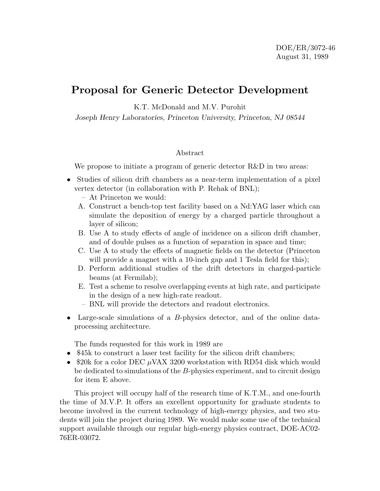## **Proposal for Generic Detector Development**

K.T. McDonald and M.V. Purohit

*Joseph Henry Laboratories, Princeton University, Princeton, NJ 08544*

## Abstract

We propose to initiate a program of generic detector R&D in two areas:

- Studies of silicon drift chambers as a near-term implementation of a pixel vertex detector (in collaboration with P. Rehak of BNL);
	- At Princeton we would:
	- A. Construct a bench-top test facility based on a Nd:YAG laser which can simulate the deposition of energy by a charged particle throughout a layer of silicon;
	- B. Use A to study effects of angle of incidence on a silicon drift chamber, and of double pulses as a function of separation in space and time;
	- C. Use A to study the effects of magnetic fields on the detector (Princeton will provide a magnet with a 10-inch gap and 1 Tesla field for this);
	- D. Perform additional studies of the drift detectors in charged-particle beams (at Fermilab);
	- E. Test a scheme to resolve overlapping events at high rate, and participate in the design of a new high-rate readout.
	- BNL will provide the detectors and readout electronics.
- Large-scale simulations of a B-physics detector, and of the online dataprocessing architecture.

The funds requested for this work in 1989 are

- \$45k to construct a laser test facility for the silicon drift chambers;
- \$20k for a color DEC  $\mu$ VAX 3200 workstation with RD54 disk which would be dedicated to simulations of the B-physics experiment, and to circuit design for item E above.

This project will occupy half of the research time of K.T.M., and one-fourth the time of M.V.P. It offers an excellent opportunity for graduate students to become involved in the current technology of high-energy physics, and two students will join the project during 1989. We would make some use of the technical support available through our regular high-energy physics contract, DOE-AC02- 76ER-03072.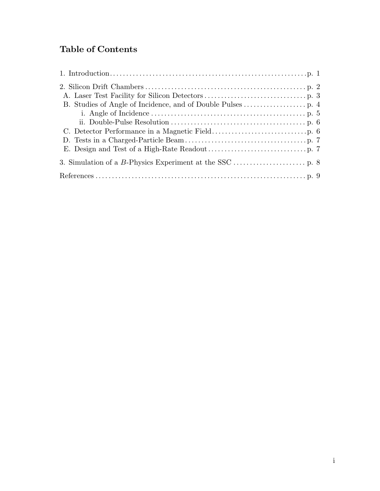# **Table of Contents**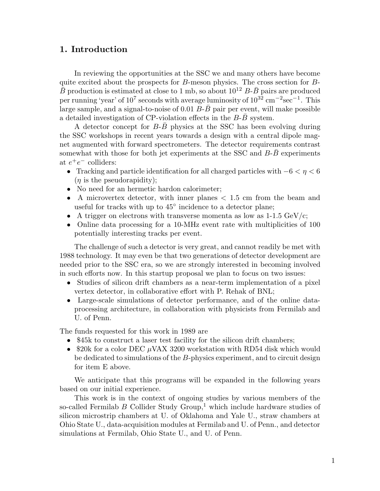## **1. Introduction**

In reviewing the opportunities at the SSC we and many others have become quite excited about the prospects for  $B$ -meson physics. The cross section for  $B$ - $\overline{B}$  production is estimated at close to 1 mb, so about  $10^{12}$  B- $\overline{B}$  pairs are produced per running 'year' of 10<sup>7</sup> seconds with average luminosity of  $10^{32}$  cm<sup>-2</sup>sec<sup>-1</sup>. This large sample, and a signal-to-noise of 0.01 B- $\bar{B}$  pair per event, will make possible a detailed investigation of CP-violation effects in the  $B-B$  system.

A detector concept for  $B$ - $B$  physics at the SSC has been evolving during the SSC workshops in recent years towards a design with a central dipole magnet augmented with forward spectrometers. The detector requirements contrast somewhat with those for both jet experiments at the SSC and  $B-B$  experiments at  $e^+e^-$  colliders:

- Tracking and particle identification for all charged particles with  $-6 < \eta < 6$  $(\eta$  is the pseudorapidity);
- No need for an hermetic hardon calorimeter;
- A microvertex detector, with inner planes  $\langle 1.5 \text{ cm from the beam and} \rangle$ useful for tracks with up to  $45^{\circ}$  incidence to a detector plane;
- A trigger on electrons with transverse momenta as low as  $1\n-1.5 \text{ GeV/c}$ ;
- Online data processing for a 10-MHz event rate with multiplicities of 100 potentially interesting tracks per event.

The challenge of such a detector is very great, and cannot readily be met with 1988 technology. It may even be that two generations of detector development are needed prior to the SSC era, so we are strongly interested in becoming involved in such efforts now. In this startup proposal we plan to focus on two issues:

- Studies of silicon drift chambers as a near-term implementation of a pixel vertex detector, in collaborative effort with P. Rehak of BNL;
- Large-scale simulations of detector performance, and of the online dataprocessing architecture, in collaboration with physicists from Fermilab and U. of Penn.

The funds requested for this work in 1989 are

- \$45k to construct a laser test facility for the silicon drift chambers;
- \$20k for a color DEC  $\mu$ VAX 3200 workstation with RD54 disk which would be dedicated to simulations of the B-physics experiment, and to circuit design for item E above.

We anticipate that this programs will be expanded in the following years based on our initial experience.

This work is in the context of ongoing studies by various members of the so-called Fermilab B Collider Study Group,<sup>1</sup> which include hardware studies of silicon microstrip chambers at U. of Oklahoma and Yale U., straw chambers at Ohio State U., data-acquisition modules at Fermilab and U. of Penn., and detector simulations at Fermilab, Ohio State U., and U. of Penn.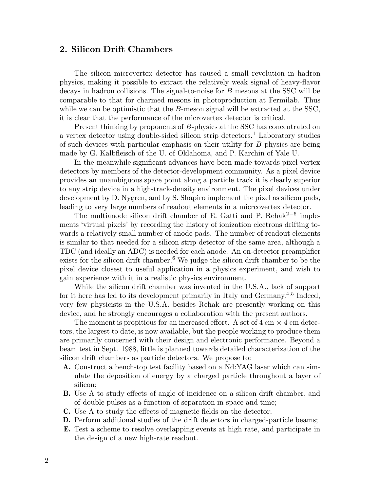### **2. Silicon Drift Chambers**

The silicon microvertex detector has caused a small revolution in hadron physics, making it possible to extract the relatively weak signal of heavy-flavor decays in hadron collisions. The signal-to-noise for B mesons at the SSC will be comparable to that for charmed mesons in photoproduction at Fermilab. Thus while we can be optimistic that the  $B$ -meson signal will be extracted at the SSC, it is clear that the performance of the microvertex detector is critical.

Present thinking by proponents of B-physics at the SSC has concentrated on a vertex detector using double-sided silicon strip detectors.<sup>1</sup> Laboratory studies of such devices with particular emphasis on their utility for B physics are being made by G. Kalbfleisch of the U. of Oklahoma, and P. Karchin of Yale U.

In the meanwhile significant advances have been made towards pixel vertex detectors by members of the detector-development community. As a pixel device provides an unambiguous space point along a particle track it is clearly superior to any strip device in a high-track-density environment. The pixel devices under development by D. Nygren, and by S. Shapiro implement the pixel as silicon pads, leading to very large numbers of readout elements in a micrcovertex detector.

The multianode silicon drift chamber of E. Gatti and P. Rehak<sup>2-5</sup> implements 'virtual pixels' by recording the history of ionization electrons drifting towards a relatively small number of anode pads. The number of readout elements is similar to that needed for a silicon strip detector of the same area, although a TDC (and ideally an ADC) is needed for each anode. An on-detector preamplifier exists for the silicon drift chamber.<sup>6</sup> We judge the silicon drift chamber to be the pixel device closest to useful application in a physics experiment, and wish to gain experience with it in a realistic physics environment.

While the silicon drift chamber was invented in the U.S.A., lack of support for it here has led to its development primarily in Italy and Germany.<sup>4</sup>*,*<sup>5</sup> Indeed, very few physicists in the U.S.A. besides Rehak are presently working on this device, and he strongly encourages a collaboration with the present authors.

The moment is propitious for an increased effort. A set of  $4 \text{ cm} \times 4 \text{ cm}$  detectors, the largest to date, is now available, but the people working to produce them are primarily concerned with their design and electronic performance. Beyond a beam test in Sept. 1988, little is planned towards detailed characterization of the silicon drift chambers as particle detectors. We propose to:

- **A.** Construct a bench-top test facility based on a Nd:YAG laser which can simulate the deposition of energy by a charged particle throughout a layer of silicon;
- **B.** Use A to study effects of angle of incidence on a silicon drift chamber, and of double pulses as a function of separation in space and time;
- **C.** Use A to study the effects of magnetic fields on the detector;
- **D.** Perform additional studies of the drift detectors in charged-particle beams;
- **E.** Test a scheme to resolve overlapping events at high rate, and participate in the design of a new high-rate readout.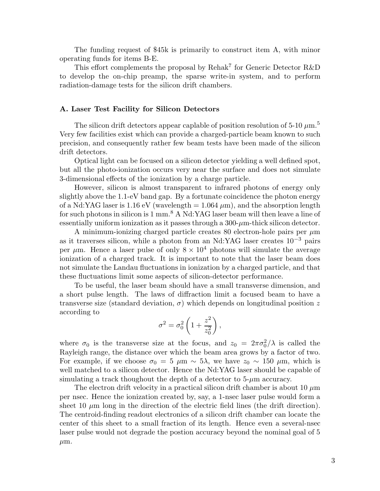The funding request of \$45k is primarily to construct item A, with minor operating funds for items B-E.

This effort complements the proposal by Rehak<sup>7</sup> for Generic Detector R&D to develop the on-chip preamp, the sparse write-in system, and to perform radiation-damage tests for the silicon drift chambers.

#### **A. Laser Test Facility for Silicon Detectors**

The silicon drift detectors appear caplable of position resolution of 5-10  $\mu$ m.<sup>5</sup> Very few facilities exist which can provide a charged-particle beam known to such precision, and consequently rather few beam tests have been made of the silicon drift detectors.

Optical light can be focused on a silicon detector yielding a well defined spot, but all the photo-ionization occurs very near the surface and does not simulate 3-dimensional effects of the ionization by a charge particle.

However, silicon is almost transparent to infrared photons of energy only slightly above the 1.1-eV band gap. By a fortunate coincidence the photon energy of a Nd:YAG laser is 1.16 eV (wavelength  $= 1.064 \mu m$ ), and the absorption length for such photons in silicon is 1 mm.<sup>8</sup> A Nd:YAG laser beam will then leave a line of essentially uniform ionization as it passes through a  $300$ - $\mu$ m-thick silicon detector.

A minimum-ionizing charged particle creates 80 electron-hole pairs per  $\mu$ m as it traverses silicon, while a photon from an Nd:YAG laser creates 10−<sup>3</sup> pairs per  $\mu$ m. Hence a laser pulse of only  $8 \times 10^4$  photons will simulate the average ionization of a charged track. It is important to note that the laser beam does not simulate the Landau fluctuations in ionization by a charged particle, and that these fluctuations limit some aspects of silicon-detector performance.

To be useful, the laser beam should have a small transverse dimension, and a short pulse length. The laws of diffraction limit a focused beam to have a transverse size (standard deviation,  $\sigma$ ) which depends on longitudinal position z according to

$$
\sigma^2 = \sigma_0^2 \left( 1 + \frac{z^2}{z_0^2} \right),
$$

where  $\sigma_0$  is the transverse size at the focus, and  $z_0 = 2\pi\sigma_0^2/\lambda$  is called the Rayleigh range, the distance over which the beam area grows by a factor of two. For example, if we choose  $\sigma_0 = 5 \mu \text{m} \sim 5\lambda$ , we have  $z_0 \sim 150 \mu \text{m}$ , which is well matched to a silicon detector. Hence the Nd:YAG laser should be capable of simulating a track thoughout the depth of a detector to  $5-\mu m$  accuracy.

The electron drift velocity in a practical silicon drift chamber is about 10  $\mu$ m per nsec. Hence the ionization created by, say, a 1-nsec laser pulse would form a sheet 10  $\mu$ m long in the direction of the electric field lines (the drift direction). The centroid-finding readout electronics of a silicon drift chamber can locate the center of this sheet to a small fraction of its length. Hence even a several-nsec laser pulse would not degrade the postion accuracy beyond the nominal goal of 5  $\mu$ m.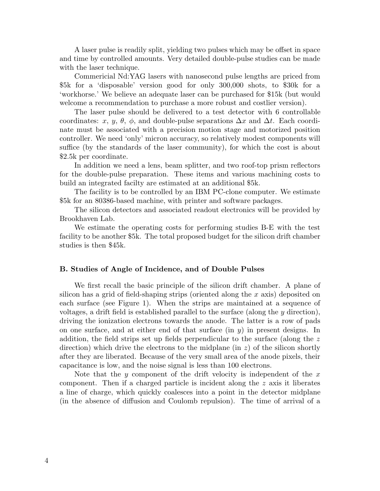A laser pulse is readily split, yielding two pulses which may be offset in space and time by controlled amounts. Very detailed double-pulse studies can be made with the laser technique.

Commericial Nd:YAG lasers with nanosecond pulse lengths are priced from \$5k for a 'disposable' version good for only 300,000 shots, to \$30k for a 'workhorse.' We believe an adequate laser can be purchased for \$15k (but would welcome a recommendation to purchase a more robust and costlier version).

The laser pulse should be delivered to a test detector with 6 controllable coordinates: x, y,  $\theta$ ,  $\phi$ , and double-pulse separations  $\Delta x$  and  $\Delta t$ . Each coordinate must be associated with a precision motion stage and motorized position controller. We need 'only' micron accuracy, so relatively modest components will suffice (by the standards of the laser community), for which the cost is about \$2.5k per coordinate.

In addition we need a lens, beam splitter, and two roof-top prism reflectors for the double-pulse preparation. These items and various machining costs to build an integrated facilty are estimated at an additional \$5k.

The facility is to be controlled by an IBM PC-clone computer. We estimate \$5k for an 80386-based machine, with printer and software packages.

The silicon detectors and associated readout electronics will be provided by Brookhaven Lab.

We estimate the operating costs for performing studies B-E with the test facility to be another \$5k. The total proposed budget for the silicon drift chamber studies is then \$45k.

#### **B. Studies of Angle of Incidence, and of Double Pulses**

We first recall the basic principle of the silicon drift chamber. A plane of silicon has a grid of field-shaping strips (oriented along the  $x$  axis) deposited on each surface (see Figure 1). When the strips are maintained at a sequence of voltages, a drift field is established parallel to the surface (along the  $y$  direction), driving the ionization electrons towards the anode. The latter is a row of pads on one surface, and at either end of that surface (in  $y$ ) in present designs. In addition, the field strips set up fields perpendicular to the surface (along the z direction) which drive the electrons to the midplane (in  $z$ ) of the silicon shortly after they are liberated. Because of the very small area of the anode pixels, their capacitance is low, and the noise signal is less than 100 electrons.

Note that the y component of the drift velocity is independent of the x component. Then if a charged particle is incident along the z axis it liberates a line of charge, which quickly coalesces into a point in the detector midplane (in the absence of diffusion and Coulomb repulsion). The time of arrival of a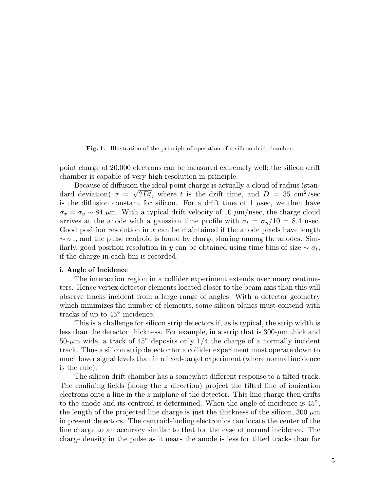**Fig. 1.** Illustration of the principle of operation of a silicon drift chamber.

point charge of 20,000 electrons can be measured extremely well; the silicon drift chamber is capable of very high resolution in principle.

Because of diffusion the ideal point charge is actually a cloud of radius (standard deviation)  $\sigma = \sqrt{2Dt}$ , where t is the drift time, and  $D = 35 \text{ cm}^2/\text{sec}$ is the diffusion constant for silicon. For a drift time of  $1$   $\mu$ sec, we then have  $\sigma_x = \sigma_y \sim 84$  μm. With a typical drift velocity of 10 μm/nsec, the charge cloud arrives at the anode with a gaussian time profile with  $\sigma_t = \sigma_y/10 = 8.4$  nsec. Good position resolution in  $x$  can be maintained if the anode pixels have length  $\sim \sigma_x$ , and the pulse centroid is found by charge sharing among the anodes. Similarly, good position resolution in y can be obtained using time bins of size  $\sim \sigma_t$ , if the charge in each bin is recorded.

#### **i. Angle of Incidence**

The interaction region in a collider experiment extends over many centimeters. Hence vertex detector elements located closer to the beam axis than this will observe tracks incident from a large range of angles. With a detector geometry which minimizes the number of elements, some silicon planes must contend with tracks of up to 45◦ incidence.

This is a challenge for silicon strip detectors if, as is typical, the strip width is less than the detector thickness. For example, in a strip that is  $300-\mu m$  thick and  $50-\mu m$  wide, a track of  $45^{\circ}$  deposits only  $1/4$  the charge of a normally incident track. Thus a silicon strip detector for a collider experiment must operate down to much lower signal levels than in a fixed-target experiment (where normal incidence is the rule).

The silicon drift chamber has a somewhat different response to a tilted track. The confining fields (along the z direction) project the tilted line of ionization electrons onto a line in the  $z$  miplane of the detector. This line charge then drifts to the anode and its centroid is determined. When the angle of incidence is 45◦, the length of the projected line charge is just the thickness of the silicon,  $300 \mu m$ in present detectors. The centroid-finding electronics can locate the center of the line charge to an accuracy similar to that for the case of normal incidence. The charge density in the pulse as it nears the anode is less for tilted tracks than for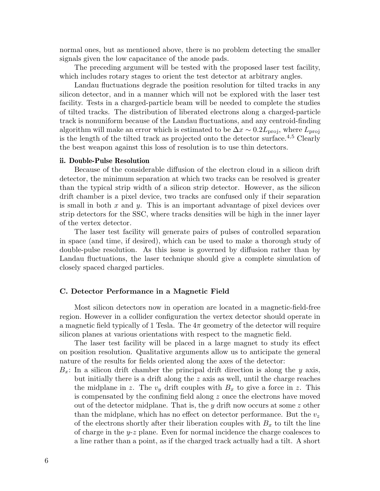normal ones, but as mentioned above, there is no problem detecting the smaller signals given the low capacitance of the anode pads.

The preceding argument will be tested with the proposed laser test facility, which includes rotary stages to orient the test detector at arbitrary angles.

Landau fluctuations degrade the position resolution for tilted tracks in any silicon detector, and in a manner which will not be explored with the laser test facility. Tests in a charged-particle beam will be needed to complete the studies of tilted tracks. The distribution of liberated electrons along a charged-particle track is nonuniform because of the Landau fluctuations, and any centroid-finding algorithm will make an error which is estimated to be  $\Delta x \sim 0.2L_{\text{proj}}$ , where  $L_{\text{proj}}$ is the length of the tilted track as projected onto the detector surface.<sup>4</sup>*,*<sup>5</sup> Clearly the best weapon against this loss of resolution is to use thin detectors.

#### **ii. Double-Pulse Resolution**

Because of the considerable diffusion of the electron cloud in a silicon drift detector, the minimum separation at which two tracks can be resolved is greater than the typical strip width of a silicon strip detector. However, as the silicon drift chamber is a pixel device, two tracks are confused only if their separation is small in both  $x$  and  $y$ . This is an important advantage of pixel devices over strip detectors for the SSC, where tracks densities will be high in the inner layer of the vertex detector.

The laser test facility will generate pairs of pulses of controlled separation in space (and time, if desired), which can be used to make a thorough study of double-pulse resolution. As this issue is governed by diffusion rather than by Landau fluctuations, the laser technique should give a complete simulation of closely spaced charged particles.

#### **C. Detector Performance in a Magnetic Field**

Most silicon detectors now in operation are located in a magnetic-field-free region. However in a collider configuration the vertex detector should operate in a magnetic field typically of 1 Tesla. The  $4\pi$  geometry of the detector will require silicon planes at various orientations with respect to the magnetic field.

The laser test facility will be placed in a large magnet to study its effect on position resolution. Qualitative arguments allow us to anticipate the general nature of the results for fields oriented along the axes of the detector:

 $B_x$ : In a silicon drift chamber the principal drift direction is along the y axis, but initially there is a drift along the z axis as well, until the charge reaches the midplane in z. The  $v_y$  drift couples with  $B_x$  to give a force in z. This is compensated by the confining field along  $z$  once the electrons have moved out of the detector midplane. That is, the y drift now occurs at some z other than the midplane, which has no effect on detector performance. But the v*<sup>z</sup>* of the electrons shortly after their liberation couples with B*<sup>x</sup>* to tilt the line of charge in the  $y-z$  plane. Even for normal incidence the charge coalesces to a line rather than a point, as if the charged track actually had a tilt. A short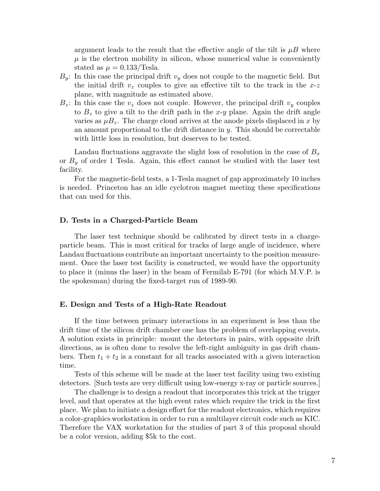argument leads to the result that the effective angle of the tilt is  $\mu B$  where  $\mu$  is the electron mobility in silicon, whose numerical value is conveniently stated as  $\mu = 0.133/\text{Ts}$ la.

- $B_y$ : In this case the principal drift  $v_y$  does not couple to the magnetic field. But the initial drift  $v_z$  couples to give an effective tilt to the track in the  $x-z$ plane, with magnitude as estimated above.
- $B_z$ : In this case the  $v_z$  does not couple. However, the principal drift  $v_y$  couples to  $B<sub>z</sub>$  to give a tilt to the drift path in the x-y plane. Again the drift angle varies as  $\mu B_z$ . The charge cloud arrives at the anode pixels displaced in x by an amount proportional to the drift distance in  $y$ . This should be correctable with little loss in resolution, but deserves to be tested.

Landau fluctuations aggravate the slight loss of resolution in the case of B*<sup>x</sup>* or B*<sup>y</sup>* of order 1 Tesla. Again, this effect cannot be studied with the laser test facility.

For the magnetic-field tests, a 1-Tesla magnet of gap approximately 10 inches is needed. Princeton has an idle cyclotron magnet meeting these specifications that can used for this.

#### **D. Tests in a Charged-Particle Beam**

The laser test technique should be calibrated by direct tests in a chargeparticle beam. This is most critical for tracks of large angle of incidence, where Landau fluctuations contribute an important uncertainty to the position measurement. Once the laser test facility is constructed, we would have the opportunity to place it (minus the laser) in the beam of Fermilab E-791 (for which M.V.P. is the spokesman) during the fixed-target run of 1989-90.

#### **E. Design and Tests of a High-Rate Readout**

If the time between primary interactions in an experiment is less than the drift time of the silicon drift chamber one has the problem of overlapping events. A solution exists in principle: mount the detectors in pairs, with opposite drift directions, as is often done to resolve the left-right ambiguity in gas drift chambers. Then  $t_1 + t_2$  is a constant for all tracks associated with a given interaction time.

Tests of this scheme will be made at the laser test facility using two existing detectors. [Such tests are very difficult using low-energy x-ray or particle sources.]

The challenge is to design a readout that incorporates this trick at the trigger level, and that operates at the high event rates which require the trick in the first place. We plan to initiate a design effort for the readout electronics, which requires a color-graphics workstation in order to run a multilayer circuit code such as KIC. Therefore the VAX workstation for the studies of part 3 of this proposal should be a color version, adding \$5k to the cost.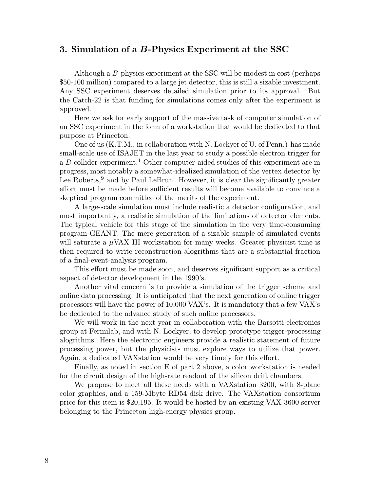## **3. Simulation of a** *B***-Physics Experiment at the SSC**

Although a B-physics experiment at the SSC will be modest in cost (perhaps \$50-100 million) compared to a large jet detector, this is still a sizable investment. Any SSC experiment deserves detailed simulation prior to its approval. But the Catch-22 is that funding for simulations comes only after the experiment is approved.

Here we ask for early support of the massive task of computer simulation of an SSC experiment in the form of a workstation that would be dedicated to that purpose at Princeton.

One of us (K.T.M., in collaboration with N. Lockyer of U. of Penn.) has made small-scale use of ISAJET in the last year to study a possible electron trigger for a B-collider experiment.<sup>1</sup> Other computer-aided studies of this experiment are in progress, most notably a somewhat-idealized simulation of the vertex detector by Lee Roberts,<sup>9</sup> and by Paul LeBrun. However, it is clear the significantly greater effort must be made before sufficient results will become available to convince a skeptical program committee of the merits of the experiment.

A large-scale simulation must include realistic a detector configuration, and most importantly, a realistic simulation of the limitations of detector elements. The typical vehicle for this stage of the simulation in the very time-consuming program GEANT. The mere generation of a sizable sample of simulated events will saturate a  $\mu$ VAX III workstation for many weeks. Greater physicist time is then required to write reconstruction alogrithms that are a substantial fraction of a final-event-analysis program.

This effort must be made soon, and deserves significant support as a critical aspect of detector development in the 1990's.

Another vital concern is to provide a simulation of the trigger scheme and online data processing. It is anticipated that the next generation of online trigger processors will have the power of 10,000 VAX's. It is mandatory that a few VAX's be dedicated to the advance study of such online processors.

We will work in the next year in collaboration with the Barsotti electronics group at Fermilab, and with N. Lockyer, to develop prototype trigger-processing alogrithms. Here the electronic engineers provide a realistic statement of future processing power, but the physicists must explore ways to utilize that power. Again, a dedicated VAXstation would be very timely for this effort.

Finally, as noted in section E of part 2 above, a color workstation is needed for the circuit design of the high-rate readout of the silicon drift chambers.

We propose to meet all these needs with a VAXstation 3200, with 8-plane color graphics, and a 159-Mbyte RD54 disk drive. The VAXstation consortium price for this item is \$20,195. It would be hosted by an existing VAX 3600 server belonging to the Princeton high-energy physics group.